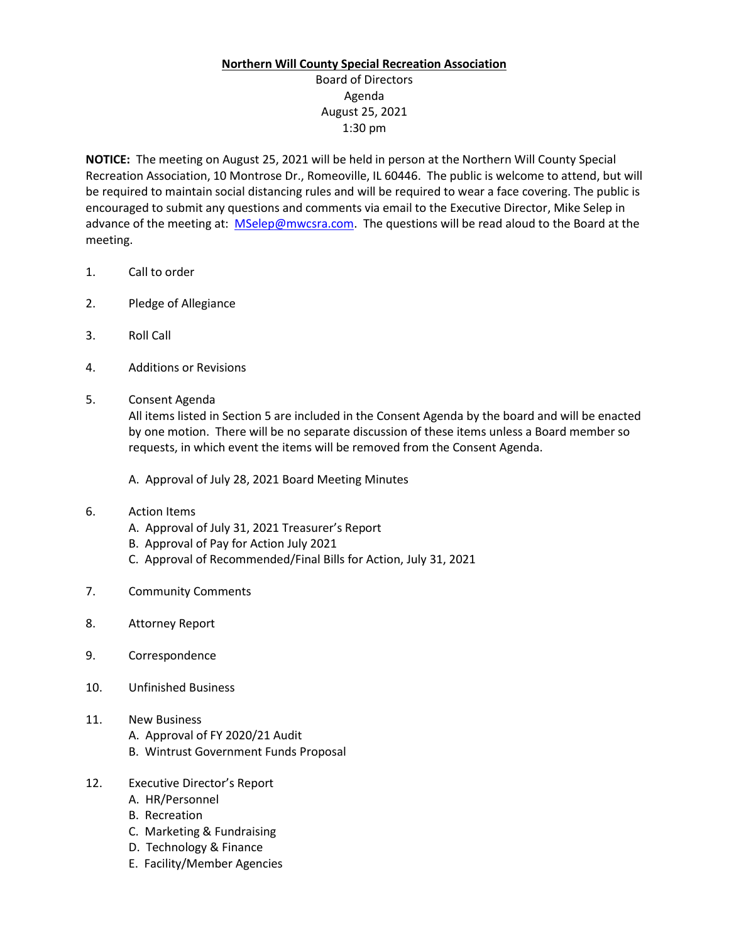## **Northern Will County Special Recreation Association**

## Board of Directors Agenda August 25, 2021 1:30 pm

**NOTICE:** The meeting on August 25, 2021 will be held in person at the Northern Will County Special Recreation Association, 10 Montrose Dr., Romeoville, IL 60446. The public is welcome to attend, but will be required to maintain social distancing rules and will be required to wear a face covering. The public is encouraged to submit any questions and comments via email to the Executive Director, Mike Selep in advance of the meeting at: [MSelep@mwcsra.com.](mailto:MSelep@mwcsra.com) The questions will be read aloud to the Board at the meeting.

- 1. Call to order
- 2. Pledge of Allegiance
- 3. Roll Call
- 4. Additions or Revisions
- 5. Consent Agenda

All items listed in Section 5 are included in the Consent Agenda by the board and will be enacted by one motion. There will be no separate discussion of these items unless a Board member so requests, in which event the items will be removed from the Consent Agenda.

A. Approval of July 28, 2021 Board Meeting Minutes

- 6. Action Items
	- A. Approval of July 31, 2021 Treasurer's Report
	- B. Approval of Pay for Action July 2021
	- C. Approval of Recommended/Final Bills for Action, July 31, 2021
- 7. Community Comments
- 8. Attorney Report
- 9. Correspondence
- 10. Unfinished Business
- 11. New Business
	- A. Approval of FY 2020/21 Audit
	- B. Wintrust Government Funds Proposal
- 12. Executive Director's Report
	- A. HR/Personnel
	- B. Recreation
	- C. Marketing & Fundraising
	- D. Technology & Finance
	- E. Facility/Member Agencies